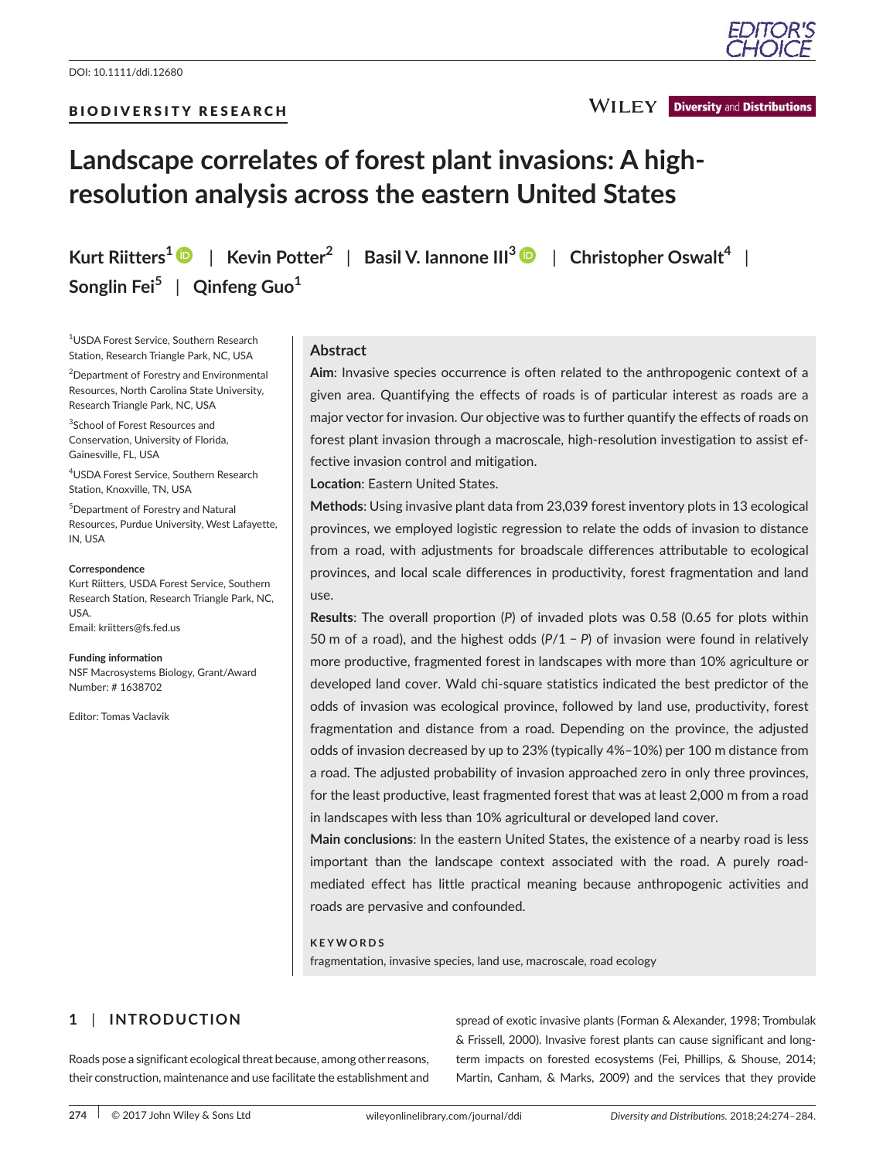# **Landscape correlates of forest plant invasions: A highresolution analysis across the eastern United States**

**Kurt Riitters<sup>1</sup>** | **Kevin Potter<sup>2</sup>** | **Basil V. Iannone III[3](http://orcid.org/0000-0002-2477-7573)** | **Christopher Oswalt<sup>4</sup>** |

**Songlin Fei5** | **Qinfeng Guo<sup>1</sup>**

1 USDA Forest Service, Southern Research Station, Research Triangle Park, NC, USA

2 Department of Forestry and Environmental Resources, North Carolina State University, Research Triangle Park, NC, USA

3 School of Forest Resources and Conservation, University of Florida, Gainesville, FL, USA

4 USDA Forest Service, Southern Research Station, Knoxville, TN, USA

5 Department of Forestry and Natural Resources, Purdue University, West Lafayette, IN, USA

#### **Correspondence**

Kurt Riitters, USDA Forest Service, Southern Research Station, Research Triangle Park, NC, USA. Email: [kriitters@fs.fed.us](mailto:kriitters@fs.fed.us)

**Funding information** NSF Macrosystems Biology, Grant/Award Number: # 1638702

Editor: Tomas Vaclavik

# **Abstract**

**Aim**: Invasive species occurrence is often related to the anthropogenic context of a given area. Quantifying the effects of roads is of particular interest as roads are a major vector for invasion. Our objective was to further quantify the effects of roads on forest plant invasion through a macroscale, high-resolution investigation to assist effective invasion control and mitigation.

**Location**: Eastern United States.

**Methods**: Using invasive plant data from 23,039 forest inventory plots in 13 ecological provinces, we employed logistic regression to relate the odds of invasion to distance from a road, with adjustments for broadscale differences attributable to ecological provinces, and local scale differences in productivity, forest fragmentation and land use.

**Results**: The overall proportion (*P*) of invaded plots was 0.58 (0.65 for plots within 50 m of a road), and the highest odds (*P*/1 − *P*) of invasion were found in relatively more productive, fragmented forest in landscapes with more than 10% agriculture or developed land cover. Wald chi-square statistics indicated the best predictor of the odds of invasion was ecological province, followed by land use, productivity, forest fragmentation and distance from a road. Depending on the province, the adjusted odds of invasion decreased by up to 23% (typically 4%–10%) per 100 m distance from a road. The adjusted probability of invasion approached zero in only three provinces, for the least productive, least fragmented forest that was at least 2,000 m from a road in landscapes with less than 10% agricultural or developed land cover.

**Main conclusions**: In the eastern United States, the existence of a nearby road is less important than the landscape context associated with the road. A purely roadmediated effect has little practical meaning because anthropogenic activities and roads are pervasive and confounded.

#### **KEYWORDS**

fragmentation, invasive species, land use, macroscale, road ecology

# **1** | **INTRODUCTION**

Roads pose a significant ecological threat because, among other reasons, their construction, maintenance and use facilitate the establishment and

spread of exotic invasive plants (Forman & Alexander, 1998; Trombulak & Frissell, 2000). Invasive forest plants can cause significant and longterm impacts on forested ecosystems (Fei, Phillips, & Shouse, 2014; Martin, Canham, & Marks, 2009) and the services that they provide



**WILEY** Diversity and Distributions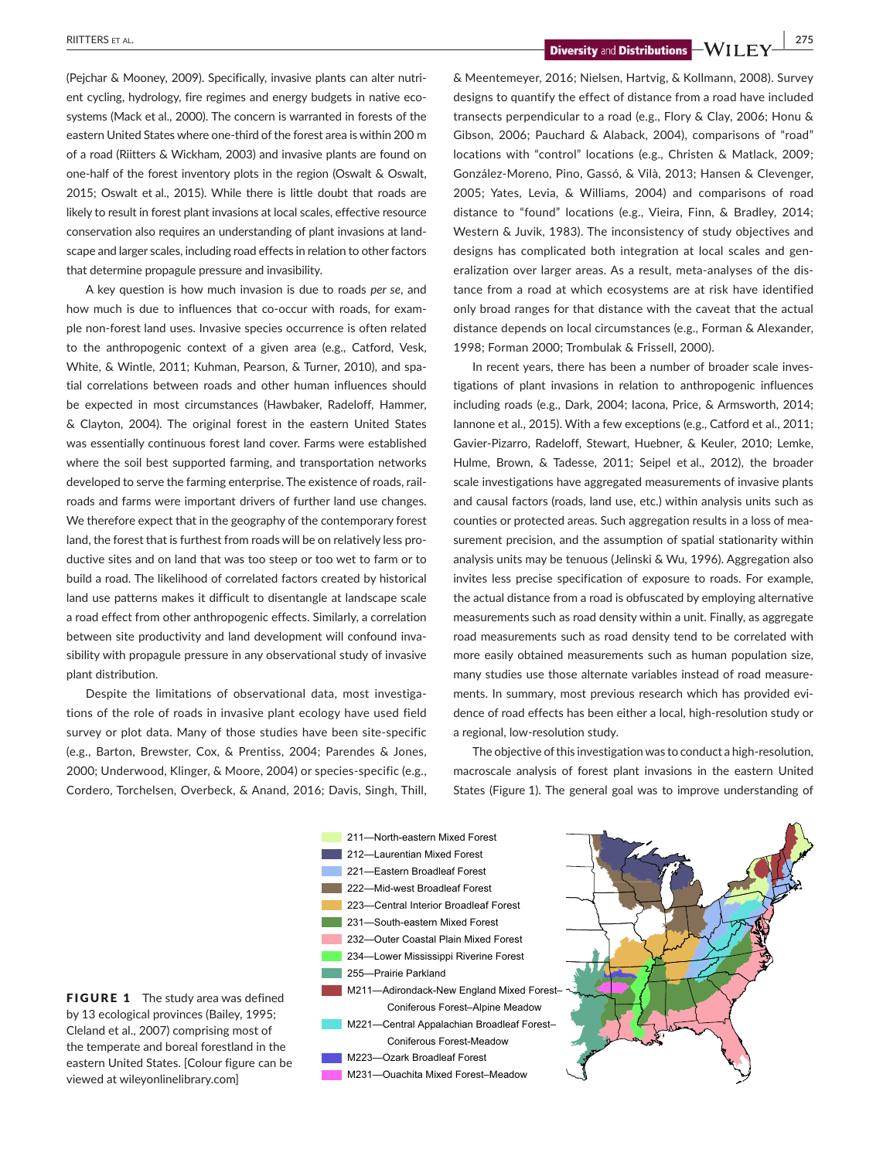**RIITTERS** ET AL. **275**<br>*Diversity and Distributions*  $-WII$  ,  $\mathbf{F} \times \frac{275}{4}$ 

(Pejchar & Mooney, 2009). Specifically, invasive plants can alter nutrient cycling, hydrology, fire regimes and energy budgets in native ecosystems (Mack et al., 2000). The concern is warranted in forests of the eastern United States where one-third of the forest area is within 200 m of a road (Riitters & Wickham, 2003) and invasive plants are found on one-half of the forest inventory plots in the region (Oswalt & Oswalt, 2015; Oswalt et al., 2015). While there is little doubt that roads are likely to result in forest plant invasions at local scales, effective resource conservation also requires an understanding of plant invasions at landscape and larger scales, including road effects in relation to other factors that determine propagule pressure and invasibility.

A key question is how much invasion is due to roads *per se*, and how much is due to influences that co-occur with roads, for example non-forest land uses. Invasive species occurrence is often related to the anthropogenic context of a given area (e.g., Catford, Vesk, White, & Wintle, 2011; Kuhman, Pearson, & Turner, 2010), and spatial correlations between roads and other human influences should be expected in most circumstances (Hawbaker, Radeloff, Hammer, & Clayton, 2004). The original forest in the eastern United States was essentially continuous forest land cover. Farms were established where the soil best supported farming, and transportation networks developed to serve the farming enterprise. The existence of roads, railroads and farms were important drivers of further land use changes. We therefore expect that in the geography of the contemporary forest land, the forest that is furthest from roads will be on relatively less productive sites and on land that was too steep or too wet to farm or to build a road. The likelihood of correlated factors created by historical land use patterns makes it difficult to disentangle at landscape scale a road effect from other anthropogenic effects. Similarly, a correlation between site productivity and land development will confound invasibility with propagule pressure in any observational study of invasive plant distribution.

Despite the limitations of observational data, most investigations of the role of roads in invasive plant ecology have used field survey or plot data. Many of those studies have been site-specific (e.g., Barton, Brewster, Cox, & Prentiss, 2004; Parendes & Jones, 2000; Underwood, Klinger, & Moore, 2004) or species-specific (e.g., Cordero, Torchelsen, Overbeck, & Anand, 2016; Davis, Singh, Thill, & Meentemeyer, 2016; Nielsen, Hartvig, & Kollmann, 2008). Survey designs to quantify the effect of distance from a road have included transects perpendicular to a road (e.g., Flory & Clay, 2006; Honu & Gibson, 2006; Pauchard & Alaback, 2004), comparisons of "road" locations with "control" locations (e.g., Christen & Matlack, 2009; González-Moreno, Pino, Gassó, & Vilà, 2013; Hansen & Clevenger, 2005; Yates, Levia, & Williams, 2004) and comparisons of road distance to "found" locations (e.g., Vieira, Finn, & Bradley, 2014; Western & Juvik, 1983). The inconsistency of study objectives and designs has complicated both integration at local scales and generalization over larger areas. As a result, meta-analyses of the distance from a road at which ecosystems are at risk have identified only broad ranges for that distance with the caveat that the actual distance depends on local circumstances (e.g., Forman & Alexander, 1998; Forman 2000; Trombulak & Frissell, 2000).

In recent years, there has been a number of broader scale investigations of plant invasions in relation to anthropogenic influences including roads (e.g., Dark, 2004; Iacona, Price, & Armsworth, 2014; Iannone et al., 2015). With a few exceptions (e.g., Catford et al., 2011; Gavier-Pizarro, Radeloff, Stewart, Huebner, & Keuler, 2010; Lemke, Hulme, Brown, & Tadesse, 2011; Seipel et al., 2012), the broader scale investigations have aggregated measurements of invasive plants and causal factors (roads, land use, etc.) within analysis units such as counties or protected areas. Such aggregation results in a loss of measurement precision, and the assumption of spatial stationarity within analysis units may be tenuous (Jelinski & Wu, 1996). Aggregation also invites less precise specification of exposure to roads. For example, the actual distance from a road is obfuscated by employing alternative measurements such as road density within a unit. Finally, as aggregate road measurements such as road density tend to be correlated with more easily obtained measurements such as human population size, many studies use those alternate variables instead of road measurements. In summary, most previous research which has provided evidence of road effects has been either a local, high-resolution study or a regional, low-resolution study.

The objective of this investigation was to conduct a high-resolution, macroscale analysis of forest plant invasions in the eastern United States (Figure 1). The general goal was to improve understanding of



FIGURE 1 The study area was defined by 13 ecological provinces (Bailey, 1995; Cleland et al., 2007) comprising most of the temperate and boreal forestland in the eastern United States. [Colour figure can be viewed at [wileyonlinelibrary.com\]](www.wileyonlinelibrary.com)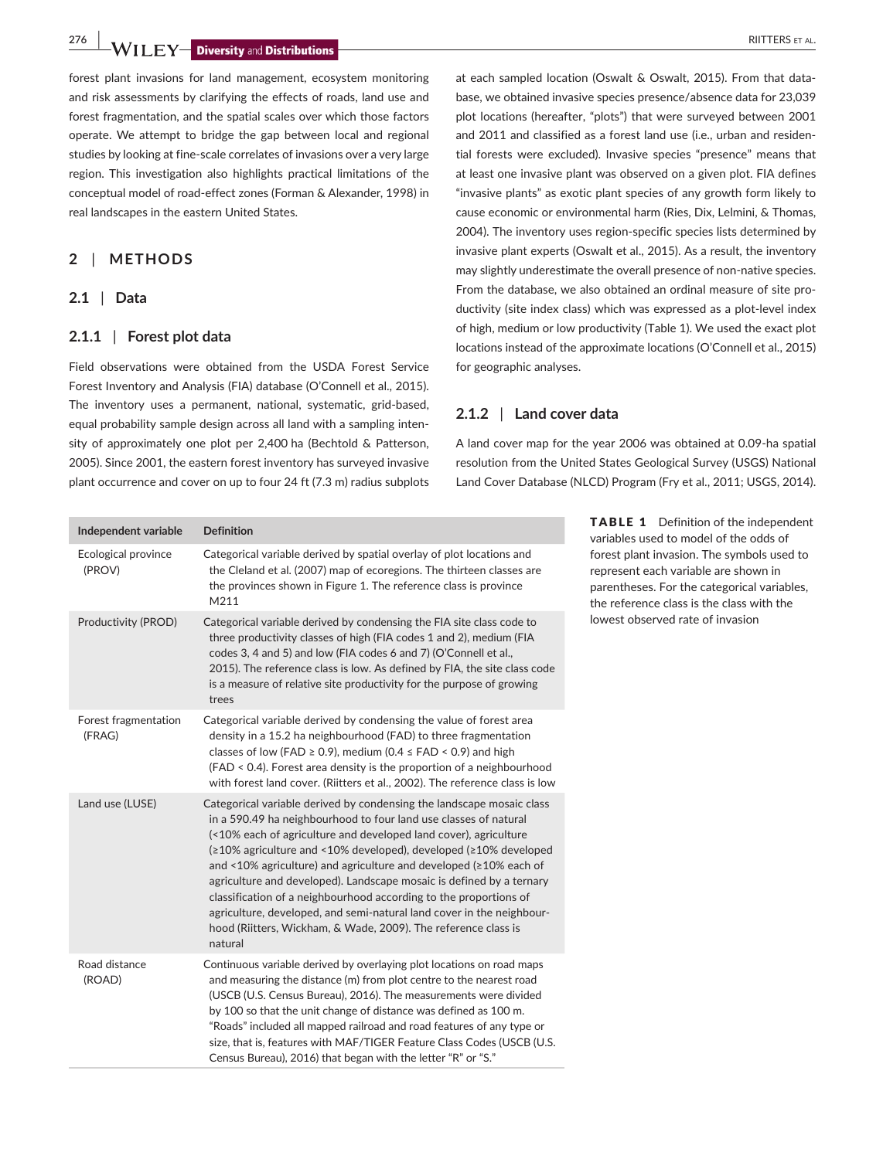**276 WILEY Diversity** and **Distributions** 

forest plant invasions for land management, ecosystem monitoring and risk assessments by clarifying the effects of roads, land use and forest fragmentation, and the spatial scales over which those factors operate. We attempt to bridge the gap between local and regional studies by looking at fine-scale correlates of invasions over a very large region. This investigation also highlights practical limitations of the conceptual model of road-effect zones (Forman & Alexander, 1998) in real landscapes in the eastern United States.

# **2** | **METHODS**

# **2.1** | **Data**

## **2.1.1** | **Forest plot data**

Field observations were obtained from the USDA Forest Service Forest Inventory and Analysis (FIA) database (O'Connell et al., 2015). The inventory uses a permanent, national, systematic, grid-based, equal probability sample design across all land with a sampling intensity of approximately one plot per 2,400 ha (Bechtold & Patterson, 2005). Since 2001, the eastern forest inventory has surveyed invasive plant occurrence and cover on up to four 24 ft (7.3 m) radius subplots

at each sampled location (Oswalt & Oswalt, 2015). From that database, we obtained invasive species presence/absence data for 23,039 plot locations (hereafter, "plots") that were surveyed between 2001 and 2011 and classified as a forest land use (i.e., urban and residential forests were excluded). Invasive species "presence" means that at least one invasive plant was observed on a given plot. FIA defines "invasive plants" as exotic plant species of any growth form likely to cause economic or environmental harm (Ries, Dix, Lelmini, & Thomas, 2004). The inventory uses region-specific species lists determined by invasive plant experts (Oswalt et al., 2015). As a result, the inventory may slightly underestimate the overall presence of non-native species. From the database, we also obtained an ordinal measure of site productivity (site index class) which was expressed as a plot-level index of high, medium or low productivity (Table 1). We used the exact plot locations instead of the approximate locations (O'Connell et al., 2015) for geographic analyses.

## **2.1.2** | **Land cover data**

A land cover map for the year 2006 was obtained at 0.09-ha spatial resolution from the United States Geological Survey (USGS) National Land Cover Database (NLCD) Program (Fry et al., 2011; USGS, 2014).

| Independent variable           | <b>Definition</b>                                                                                                                                                                                                                                                                                                                                                                                                                                                                                                                                                                                                                                                      |
|--------------------------------|------------------------------------------------------------------------------------------------------------------------------------------------------------------------------------------------------------------------------------------------------------------------------------------------------------------------------------------------------------------------------------------------------------------------------------------------------------------------------------------------------------------------------------------------------------------------------------------------------------------------------------------------------------------------|
| Ecological province<br>(PROV)  | Categorical variable derived by spatial overlay of plot locations and<br>the Cleland et al. (2007) map of ecoregions. The thirteen classes are<br>the provinces shown in Figure 1. The reference class is province<br>M211                                                                                                                                                                                                                                                                                                                                                                                                                                             |
| Productivity (PROD)            | Categorical variable derived by condensing the FIA site class code to<br>three productivity classes of high (FIA codes 1 and 2), medium (FIA<br>codes 3, 4 and 5) and low (FIA codes 6 and 7) (O'Connell et al.,<br>2015). The reference class is low. As defined by FIA, the site class code<br>is a measure of relative site productivity for the purpose of growing<br>trees                                                                                                                                                                                                                                                                                        |
| Forest fragmentation<br>(FRAG) | Categorical variable derived by condensing the value of forest area<br>density in a 15.2 ha neighbourhood (FAD) to three fragmentation<br>classes of low (FAD $\geq$ 0.9), medium (0.4 $\leq$ FAD < 0.9) and high<br>(FAD < 0.4). Forest area density is the proportion of a neighbourhood<br>with forest land cover. (Riitters et al., 2002). The reference class is low                                                                                                                                                                                                                                                                                              |
| Land use (LUSE)                | Categorical variable derived by condensing the landscape mosaic class<br>in a 590.49 ha neighbourhood to four land use classes of natural<br>(<10% each of agriculture and developed land cover), agriculture<br>(≥10% agriculture and <10% developed), developed (≥10% developed<br>and $\leq$ 10% agriculture) and agriculture and developed ( $\geq$ 10% each of<br>agriculture and developed). Landscape mosaic is defined by a ternary<br>classification of a neighbourhood according to the proportions of<br>agriculture, developed, and semi-natural land cover in the neighbour-<br>hood (Riitters, Wickham, & Wade, 2009). The reference class is<br>natural |
| Road distance<br>(ROAD)        | Continuous variable derived by overlaying plot locations on road maps<br>and measuring the distance (m) from plot centre to the nearest road<br>(USCB (U.S. Census Bureau), 2016). The measurements were divided<br>by 100 so that the unit change of distance was defined as 100 m.<br>"Roads" included all mapped railroad and road features of any type or<br>size, that is, features with MAF/TIGER Feature Class Codes (USCB (U.S.<br>Census Bureau), 2016) that began with the letter "R" or "S."                                                                                                                                                                |

TABLE 1 Definition of the independent variables used to model of the odds of forest plant invasion. The symbols used to represent each variable are shown in parentheses. For the categorical variables, the reference class is the class with the lowest observed rate of invasion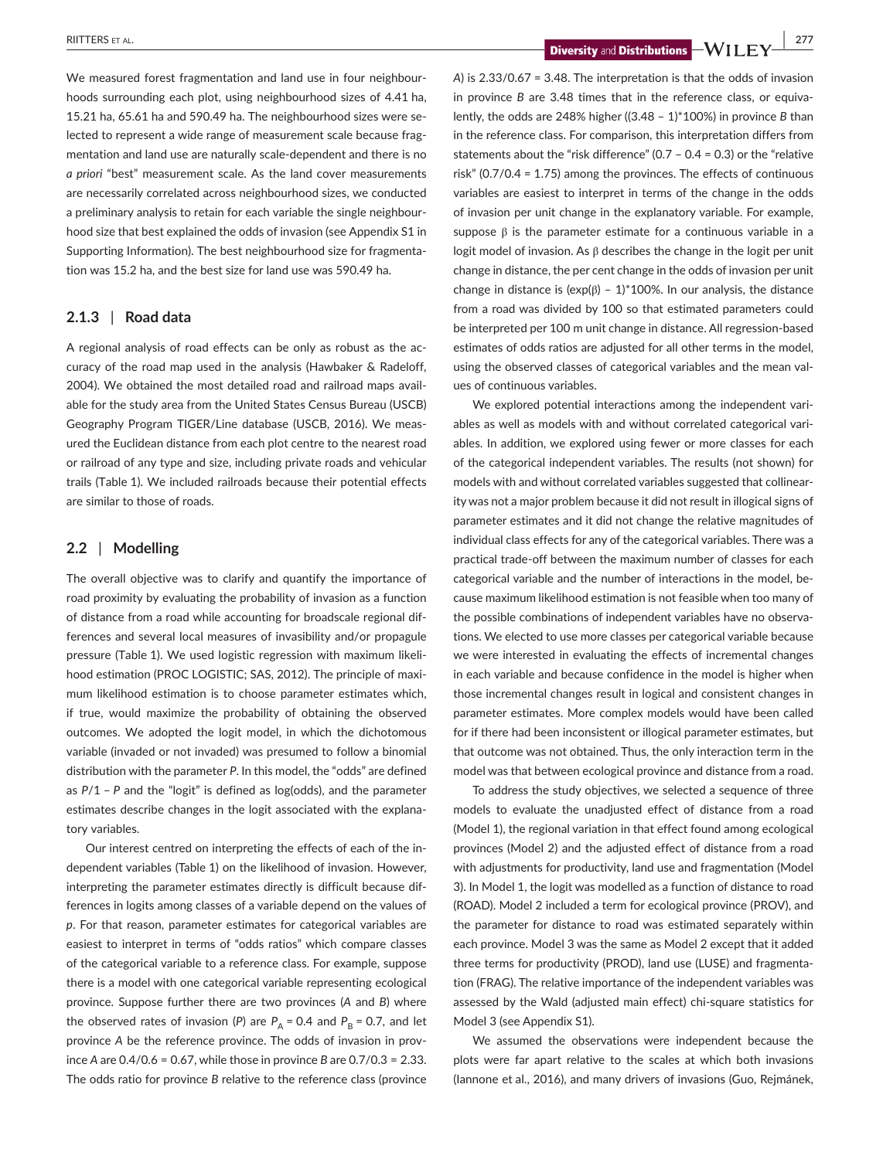We measured forest fragmentation and land use in four neighbourhoods surrounding each plot, using neighbourhood sizes of 4.41 ha, 15.21 ha, 65.61 ha and 590.49 ha. The neighbourhood sizes were selected to represent a wide range of measurement scale because fragmentation and land use are naturally scale-dependent and there is no *a priori* "best" measurement scale. As the land cover measurements are necessarily correlated across neighbourhood sizes, we conducted a preliminary analysis to retain for each variable the single neighbourhood size that best explained the odds of invasion (see Appendix S1 in Supporting Information). The best neighbourhood size for fragmentation was 15.2 ha, and the best size for land use was 590.49 ha.

## **2.1.3** | **Road data**

A regional analysis of road effects can be only as robust as the accuracy of the road map used in the analysis (Hawbaker & Radeloff, 2004). We obtained the most detailed road and railroad maps available for the study area from the United States Census Bureau (USCB) Geography Program TIGER/Line database (USCB, 2016). We measured the Euclidean distance from each plot centre to the nearest road or railroad of any type and size, including private roads and vehicular trails (Table 1). We included railroads because their potential effects are similar to those of roads.

### **2.2** | **Modelling**

The overall objective was to clarify and quantify the importance of road proximity by evaluating the probability of invasion as a function of distance from a road while accounting for broadscale regional differences and several local measures of invasibility and/or propagule pressure (Table 1). We used logistic regression with maximum likelihood estimation (PROC LOGISTIC; SAS, 2012). The principle of maximum likelihood estimation is to choose parameter estimates which, if true, would maximize the probability of obtaining the observed outcomes. We adopted the logit model, in which the dichotomous variable (invaded or not invaded) was presumed to follow a binomial distribution with the parameter *P*. In this model, the "odds" are defined as *P*/1 – *P* and the "logit" is defined as log(odds), and the parameter estimates describe changes in the logit associated with the explanatory variables.

Our interest centred on interpreting the effects of each of the independent variables (Table 1) on the likelihood of invasion. However, interpreting the parameter estimates directly is difficult because differences in logits among classes of a variable depend on the values of *p*. For that reason, parameter estimates for categorical variables are easiest to interpret in terms of "odds ratios" which compare classes of the categorical variable to a reference class. For example, suppose there is a model with one categorical variable representing ecological province. Suppose further there are two provinces (*A* and *B*) where the observed rates of invasion (*P*) are  $P_A$  = 0.4 and  $P_B$  = 0.7, and let province *A* be the reference province. The odds of invasion in province *A* are 0.4/0.6 = 0.67, while those in province *B* are 0.7/0.3 = 2.33. The odds ratio for province *B* relative to the reference class (province

**RIITTERS** ET AL. **277**<br>*Diversity and Distributions*  $-WII$  ,  $\mathbf{F} \times \frac{277}{4}$ 

*A*) is 2.33/0.67 = 3.48. The interpretation is that the odds of invasion in province *B* are 3.48 times that in the reference class, or equivalently, the odds are 248% higher ((3.48 – 1)\*100%) in province *B* than in the reference class. For comparison, this interpretation differs from statements about the "risk difference" (0.7 – 0.4 = 0.3) or the "relative risk" (0.7/0.4 = 1.75) among the provinces. The effects of continuous variables are easiest to interpret in terms of the change in the odds of invasion per unit change in the explanatory variable. For example, suppose  $\beta$  is the parameter estimate for a continuous variable in a logit model of invasion. As β describes the change in the logit per unit change in distance, the per cent change in the odds of invasion per unit change in distance is  $(exp(β) - 1)*100%.$  In our analysis, the distance from a road was divided by 100 so that estimated parameters could be interpreted per 100 m unit change in distance. All regression-based estimates of odds ratios are adjusted for all other terms in the model, using the observed classes of categorical variables and the mean values of continuous variables.

We explored potential interactions among the independent variables as well as models with and without correlated categorical variables. In addition, we explored using fewer or more classes for each of the categorical independent variables. The results (not shown) for models with and without correlated variables suggested that collinearity was not a major problem because it did not result in illogical signs of parameter estimates and it did not change the relative magnitudes of individual class effects for any of the categorical variables. There was a practical trade-off between the maximum number of classes for each categorical variable and the number of interactions in the model, because maximum likelihood estimation is not feasible when too many of the possible combinations of independent variables have no observations. We elected to use more classes per categorical variable because we were interested in evaluating the effects of incremental changes in each variable and because confidence in the model is higher when those incremental changes result in logical and consistent changes in parameter estimates. More complex models would have been called for if there had been inconsistent or illogical parameter estimates, but that outcome was not obtained. Thus, the only interaction term in the model was that between ecological province and distance from a road.

To address the study objectives, we selected a sequence of three models to evaluate the unadjusted effect of distance from a road (Model 1), the regional variation in that effect found among ecological provinces (Model 2) and the adjusted effect of distance from a road with adjustments for productivity, land use and fragmentation (Model 3). In Model 1, the logit was modelled as a function of distance to road (ROAD). Model 2 included a term for ecological province (PROV), and the parameter for distance to road was estimated separately within each province. Model 3 was the same as Model 2 except that it added three terms for productivity (PROD), land use (LUSE) and fragmentation (FRAG). The relative importance of the independent variables was assessed by the Wald (adjusted main effect) chi-square statistics for Model 3 (see Appendix S1).

We assumed the observations were independent because the plots were far apart relative to the scales at which both invasions (Iannone et al., 2016), and many drivers of invasions (Guo, Rejmánek,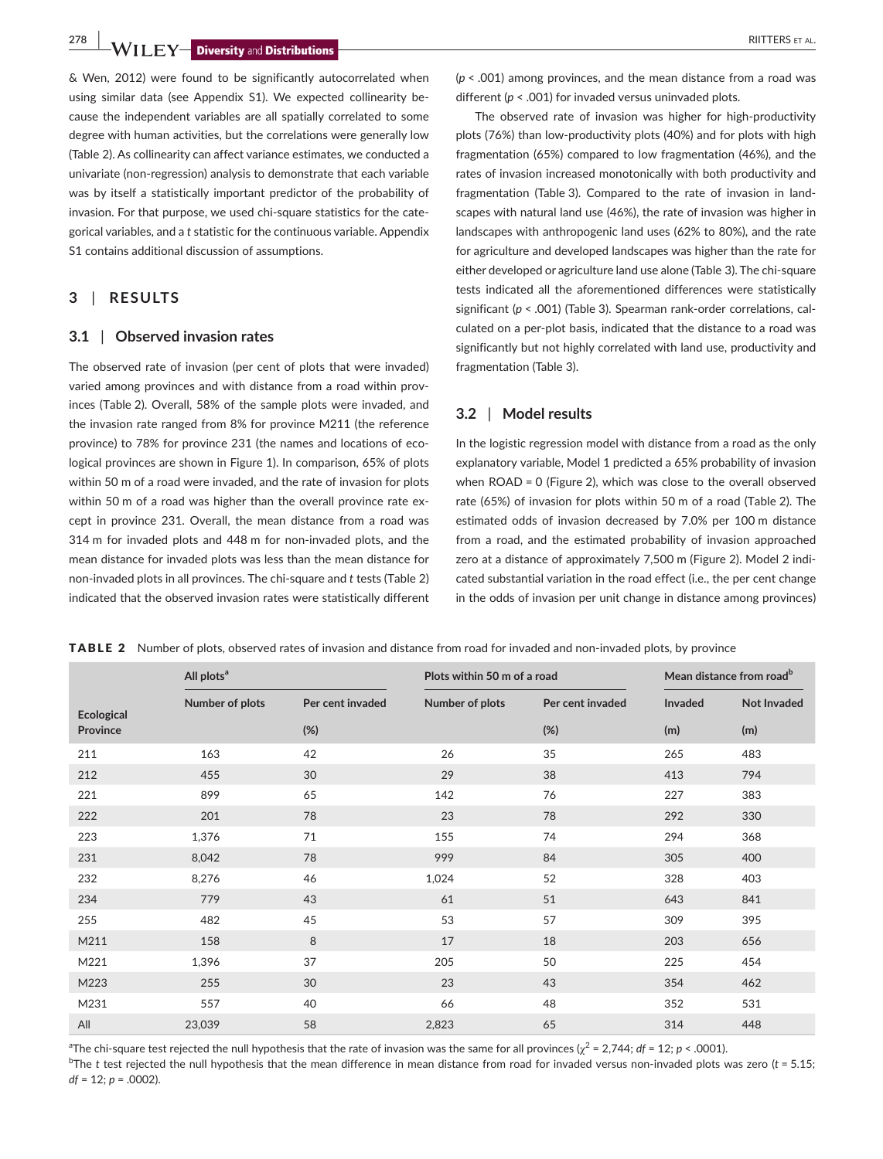**278 WII.F.Y-Diversity** and **Distributions** 

& Wen, 2012) were found to be significantly autocorrelated when using similar data (see Appendix S1). We expected collinearity because the independent variables are all spatially correlated to some degree with human activities, but the correlations were generally low (Table 2). As collinearity can affect variance estimates, we conducted a univariate (non-regression) analysis to demonstrate that each variable was by itself a statistically important predictor of the probability of invasion. For that purpose, we used chi-square statistics for the categorical variables, and a *t* statistic for the continuous variable. Appendix S1 contains additional discussion of assumptions.

# **3** | **RESULTS**

## **3.1** | **Observed invasion rates**

The observed rate of invasion (per cent of plots that were invaded) varied among provinces and with distance from a road within provinces (Table 2). Overall, 58% of the sample plots were invaded, and the invasion rate ranged from 8% for province M211 (the reference province) to 78% for province 231 (the names and locations of ecological provinces are shown in Figure 1). In comparison, 65% of plots within 50 m of a road were invaded, and the rate of invasion for plots within 50 m of a road was higher than the overall province rate except in province 231. Overall, the mean distance from a road was 314 m for invaded plots and 448 m for non-invaded plots, and the mean distance for invaded plots was less than the mean distance for non-invaded plots in all provinces. The chi-square and *t* tests (Table 2) indicated that the observed invasion rates were statistically different (*p* < .001) among provinces, and the mean distance from a road was different (*p* < .001) for invaded versus uninvaded plots.

The observed rate of invasion was higher for high-productivity plots (76%) than low-productivity plots (40%) and for plots with high fragmentation (65%) compared to low fragmentation (46%), and the rates of invasion increased monotonically with both productivity and fragmentation (Table 3). Compared to the rate of invasion in landscapes with natural land use (46%), the rate of invasion was higher in landscapes with anthropogenic land uses (62% to 80%), and the rate for agriculture and developed landscapes was higher than the rate for either developed or agriculture land use alone (Table 3). The chi-square tests indicated all the aforementioned differences were statistically significant (*p* < .001) (Table 3). Spearman rank-order correlations, calculated on a per-plot basis, indicated that the distance to a road was significantly but not highly correlated with land use, productivity and fragmentation (Table 3).

## **3.2** | **Model results**

In the logistic regression model with distance from a road as the only explanatory variable, Model 1 predicted a 65% probability of invasion when ROAD = 0 (Figure 2), which was close to the overall observed rate (65%) of invasion for plots within 50 m of a road (Table 2). The estimated odds of invasion decreased by 7.0% per 100 m distance from a road, and the estimated probability of invasion approached zero at a distance of approximately 7,500 m (Figure 2). Model 2 indicated substantial variation in the road effect (i.e., the per cent change in the odds of invasion per unit change in distance among provinces)

|  |  |  |  |  |  |  |  |  |  |  | <b>TABLE 2</b> Number of plots, observed rates of invasion and distance from road for invaded and non-invaded plots, by province |  |  |  |  |  |  |  |  |  |  |  |  |  |  |  |  |  |
|--|--|--|--|--|--|--|--|--|--|--|----------------------------------------------------------------------------------------------------------------------------------|--|--|--|--|--|--|--|--|--|--|--|--|--|--|--|--|--|
|--|--|--|--|--|--|--|--|--|--|--|----------------------------------------------------------------------------------------------------------------------------------|--|--|--|--|--|--|--|--|--|--|--|--|--|--|--|--|--|

| All plots <sup>a</sup> |                 |                  | Plots within 50 m of a road |                  | Mean distance from road <sup>b</sup> |                    |  |  |
|------------------------|-----------------|------------------|-----------------------------|------------------|--------------------------------------|--------------------|--|--|
| <b>Ecological</b>      | Number of plots | Per cent invaded | Number of plots             | Per cent invaded | Invaded                              | <b>Not Invaded</b> |  |  |
| Province               |                 | $(\%)$           |                             | (%)              | (m)                                  | (m)                |  |  |
| 211                    | 163             | 42               | 26                          | 35               | 265                                  | 483                |  |  |
| 212                    | 455             | 30               | 29                          | 38               | 413                                  | 794                |  |  |
| 221                    | 899             | 65               | 142                         | 76               | 227                                  | 383                |  |  |
| 222                    | 201             | 78               | 23                          | 78               | 292                                  | 330                |  |  |
| 223                    | 1,376           | 71               | 155                         | 74               | 294                                  | 368                |  |  |
| 231                    | 8,042           | 78               | 999                         | 84               | 305                                  | 400                |  |  |
| 232                    | 8,276           | 46               | 1,024                       | 52               | 328                                  | 403                |  |  |
| 234                    | 779             | 43               | 61                          | 51               | 643                                  | 841                |  |  |
| 255                    | 482             | 45               | 53                          | 57               | 309                                  | 395                |  |  |
| M211                   | 158             | $\,8\,$          | 17                          | 18               | 203                                  | 656                |  |  |
| M221                   | 1,396           | 37               | 205                         | 50               | 225                                  | 454                |  |  |
| M223                   | 255             | 30               | 23                          | 43               | 354                                  | 462                |  |  |
| M231                   | 557             | 40               | 66                          | 48               | 352                                  | 531                |  |  |
| All                    | 23,039          | 58               | 2,823                       | 65               | 314                                  | 448                |  |  |

<sup>a</sup>The chi-square test rejected the null hypothesis that the rate of invasion was the same for all provinces ( $\chi^2$  = 2,744; *df* = 12; *p* < .0001).

b The *t* test rejected the null hypothesis that the mean difference in mean distance from road for invaded versus non-invaded plots was zero (*t* = 5.15; *df* = 12; *p* = .0002).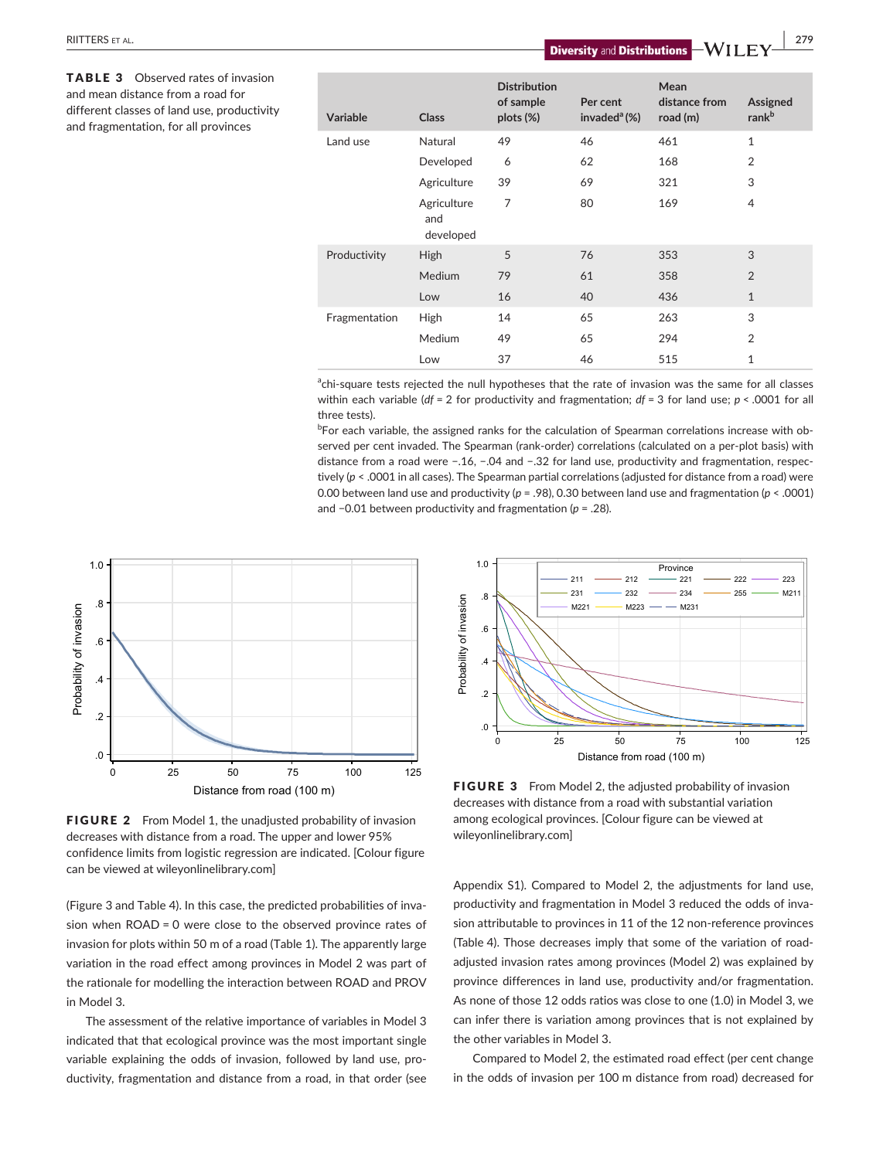|  | RIITTERS FT AL. |  |
|--|-----------------|--|
|  |                 |  |

TABLE 3 Observed rates of invasion and mean distance from a road for different classes of land use, productivity and fragmentation, for all provinces

| <b>Variable</b> | <b>Class</b>                    | Distribution<br>of sample<br>plots (%) | Per cent<br>invaded $^{\circ}$ (%) | Mean<br>distance from<br>road (m) | Assigned<br>rank <sup>b</sup> |
|-----------------|---------------------------------|----------------------------------------|------------------------------------|-----------------------------------|-------------------------------|
| Land use        | Natural                         | 49                                     | 46                                 | 461                               | $\mathbf{1}$                  |
|                 | Developed                       | 6                                      | 62                                 | 168                               | $\overline{2}$                |
|                 | Agriculture                     | 39                                     | 69                                 | 321                               | 3                             |
|                 | Agriculture<br>and<br>developed | 7                                      | 80                                 | 169                               | 4                             |
| Productivity    | <b>High</b>                     | 5                                      | 76                                 | 353                               | 3                             |
|                 | Medium                          | 79                                     | 61                                 | 358                               | $\overline{2}$                |
|                 | Low                             | 16                                     | 40                                 | 436                               | $\mathbf{1}$                  |
| Fragmentation   | High                            | 14                                     | 65                                 | 263                               | 3                             |
|                 | Medium                          | 49                                     | 65                                 | 294                               | $\overline{2}$                |
|                 | Low                             | 37                                     | 46                                 | 515                               | $\mathbf{1}$                  |

<sup>a</sup>chi-square tests rejected the null hypotheses that the rate of invasion was the same for all classes within each variable (*df* = 2 for productivity and fragmentation; *df* = 3 for land use; *p* < .0001 for all three tests).

<sup>b</sup>For each variable, the assigned ranks for the calculation of Spearman correlations increase with observed per cent invaded. The Spearman (rank-order) correlations (calculated on a per-plot basis) with distance from a road were −.16, −.04 and −.32 for land use, productivity and fragmentation, respectively (*p* < .0001 in all cases). The Spearman partial correlations (adjusted for distance from a road) were 0.00 between land use and productivity (*p* = .98), 0.30 between land use and fragmentation (*p* < .0001) and −0.01 between productivity and fragmentation (*p* = .28).



FIGURE 2 From Model 1, the unadjusted probability of invasion decreases with distance from a road. The upper and lower 95% confidence limits from logistic regression are indicated. [Colour figure can be viewed at [wileyonlinelibrary.com\]](www.wileyonlinelibrary.com)

(Figure 3 and Table 4). In this case, the predicted probabilities of invasion when ROAD = 0 were close to the observed province rates of invasion for plots within 50 m of a road (Table 1). The apparently large variation in the road effect among provinces in Model 2 was part of the rationale for modelling the interaction between ROAD and PROV in Model 3.

The assessment of the relative importance of variables in Model 3 indicated that that ecological province was the most important single variable explaining the odds of invasion, followed by land use, productivity, fragmentation and distance from a road, in that order (see



Distance from road (100 m) FIGURE 3 From Model 2, the adjusted probability of invasion decreases with distance from a road with substantial variation among ecological provinces. [Colour figure can be viewed at [wileyonlinelibrary.com\]](www.wileyonlinelibrary.com)

Appendix S1). Compared to Model 2, the adjustments for land use, productivity and fragmentation in Model 3 reduced the odds of invasion attributable to provinces in 11 of the 12 non-reference provinces (Table 4). Those decreases imply that some of the variation of roadadjusted invasion rates among provinces (Model 2) was explained by province differences in land use, productivity and/or fragmentation. As none of those 12 odds ratios was close to one (1.0) in Model 3, we can infer there is variation among provinces that is not explained by the other variables in Model 3.

Compared to Model 2, the estimated road effect (per cent change in the odds of invasion per 100 m distance from road) decreased for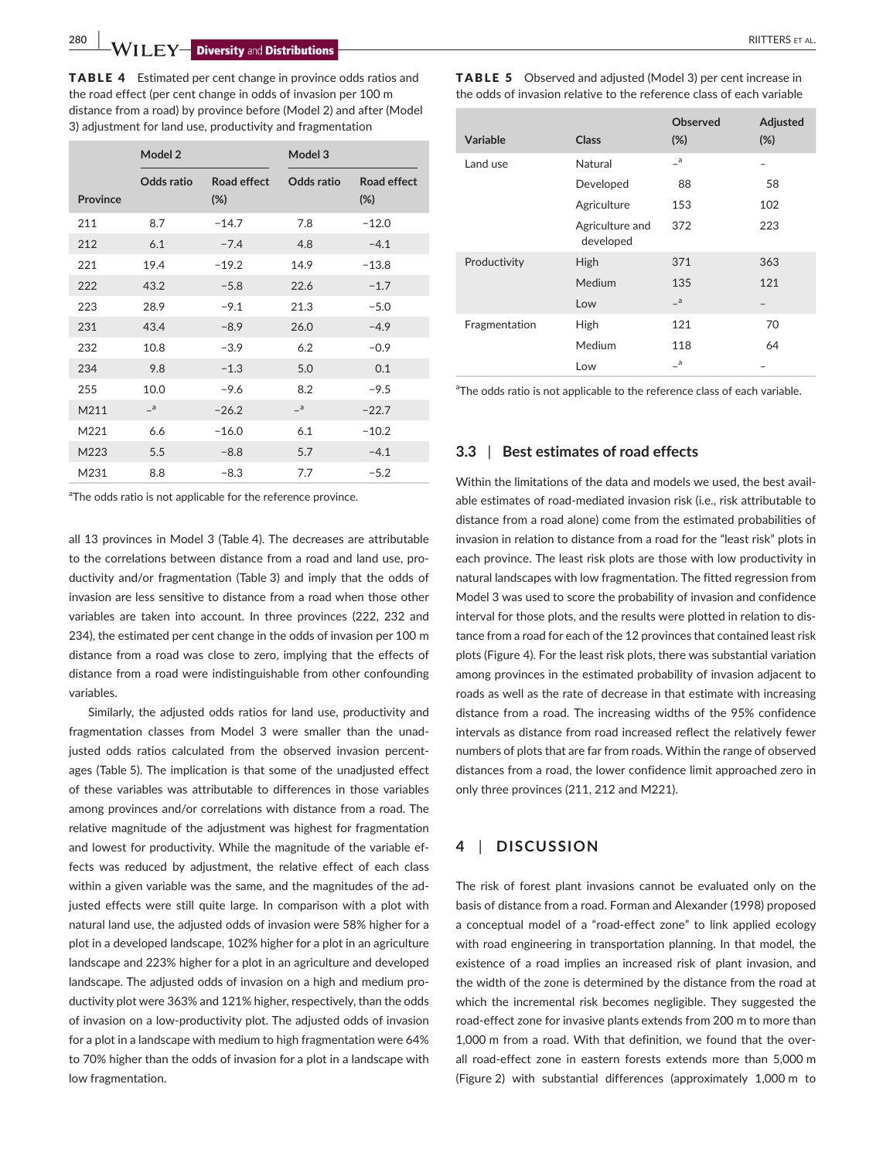**280 WILEY-Diversity** and Distributions

TABLE 4 Estimated per cent change in province odds ratios and the road effect (per cent change in odds of invasion per 100 m distance from a road) by province before (Model 2) and after (Model 3) adjustment for land use, productivity and fragmentation

|          | Model 2    |                       | Model 3    |                       |
|----------|------------|-----------------------|------------|-----------------------|
| Province | Odds ratio | Road effect<br>$(\%)$ | Odds ratio | Road effect<br>$(\%)$ |
| 211      | 8.7        | $-14.7$               | 7.8        | $-12.0$               |
| 212      | 6.1        | $-7.4$                | 4.8        | $-4.1$                |
| 221      | 19.4       | $-19.2$               | 14.9       | $-13.8$               |
| 222      | 43.2       | $-5.8$                | 22.6       | $-1.7$                |
| 223      | 28.9       | $-9.1$                | 21.3       | $-5.0$                |
| 231      | 43.4       | $-8.9$                | 26.0       | $-4.9$                |
| 232      | 10.8       | $-3.9$                | 6.2        | $-0.9$                |
| 234      | 9.8        | $-1.3$                | 5.0        | 0.1                   |
| 255      | 10.0       | $-9.6$                | 8.2        | $-9.5$                |
| M211     | $a =$      | $-26.2$               | $-$ a      | $-22.7$               |
| M221     | 6.6        | $-16.0$               | 6.1        | $-10.2$               |
| M223     | 5.5        | $-8.8$                | 5.7        | $-4.1$                |
| M231     | 8.8        | $-8.3$                | 7.7        | $-5.2$                |

<sup>a</sup>The odds ratio is not applicable for the reference province.

all 13 provinces in Model 3 (Table 4). The decreases are attributable to the correlations between distance from a road and land use, productivity and/or fragmentation (Table 3) and imply that the odds of invasion are less sensitive to distance from a road when those other variables are taken into account. In three provinces (222, 232 and 234), the estimated per cent change in the odds of invasion per 100 m distance from a road was close to zero, implying that the effects of distance from a road were indistinguishable from other confounding variables.

Similarly, the adjusted odds ratios for land use, productivity and fragmentation classes from Model 3 were smaller than the unadjusted odds ratios calculated from the observed invasion percentages (Table 5). The implication is that some of the unadjusted effect of these variables was attributable to differences in those variables among provinces and/or correlations with distance from a road. The relative magnitude of the adjustment was highest for fragmentation and lowest for productivity. While the magnitude of the variable effects was reduced by adjustment, the relative effect of each class within a given variable was the same, and the magnitudes of the adjusted effects were still quite large. In comparison with a plot with natural land use, the adjusted odds of invasion were 58% higher for a plot in a developed landscape, 102% higher for a plot in an agriculture landscape and 223% higher for a plot in an agriculture and developed landscape. The adjusted odds of invasion on a high and medium productivity plot were 363% and 121% higher, respectively, than the odds of invasion on a low-productivity plot. The adjusted odds of invasion for a plot in a landscape with medium to high fragmentation were 64% to 70% higher than the odds of invasion for a plot in a landscape with low fragmentation.

TABLE 5 Observed and adjusted (Model 3) per cent increase in the odds of invasion relative to the reference class of each variable

| Variable      | <b>Class</b>                 | Observed<br>(%) | Adjusted<br>$(\%)$       |
|---------------|------------------------------|-----------------|--------------------------|
| Land use      | Natural                      | $\overline{a}$  |                          |
|               | Developed                    | 88              | 58                       |
|               | Agriculture                  | 153             | 102                      |
|               | Agriculture and<br>developed | 372             | 223                      |
| Productivity  | High                         | 371             | 363                      |
|               | Medium                       | 135             | 121                      |
|               | Low                          | a               | $\overline{\phantom{0}}$ |
| Fragmentation | High                         | 121             | 70                       |
|               | Medium                       | 118             | 64                       |
|               | Low                          | $-{}^a$         |                          |

<sup>a</sup>The odds ratio is not applicable to the reference class of each variable.

## **3.3** | **Best estimates of road effects**

Within the limitations of the data and models we used, the best available estimates of road-mediated invasion risk (i.e., risk attributable to distance from a road alone) come from the estimated probabilities of invasion in relation to distance from a road for the "least risk" plots in each province. The least risk plots are those with low productivity in natural landscapes with low fragmentation. The fitted regression from Model 3 was used to score the probability of invasion and confidence interval for those plots, and the results were plotted in relation to distance from a road for each of the 12 provinces that contained least risk plots (Figure 4). For the least risk plots, there was substantial variation among provinces in the estimated probability of invasion adjacent to roads as well as the rate of decrease in that estimate with increasing distance from a road. The increasing widths of the 95% confidence intervals as distance from road increased reflect the relatively fewer numbers of plots that are far from roads. Within the range of observed distances from a road, the lower confidence limit approached zero in only three provinces (211, 212 and M221).

# **4** | **DISCUSSION**

The risk of forest plant invasions cannot be evaluated only on the basis of distance from a road. Forman and Alexander (1998) proposed a conceptual model of a "road-effect zone" to link applied ecology with road engineering in transportation planning. In that model, the existence of a road implies an increased risk of plant invasion, and the width of the zone is determined by the distance from the road at which the incremental risk becomes negligible. They suggested the road-effect zone for invasive plants extends from 200 m to more than 1,000 m from a road. With that definition, we found that the overall road-effect zone in eastern forests extends more than 5,000 m (Figure 2) with substantial differences (approximately 1,000 m to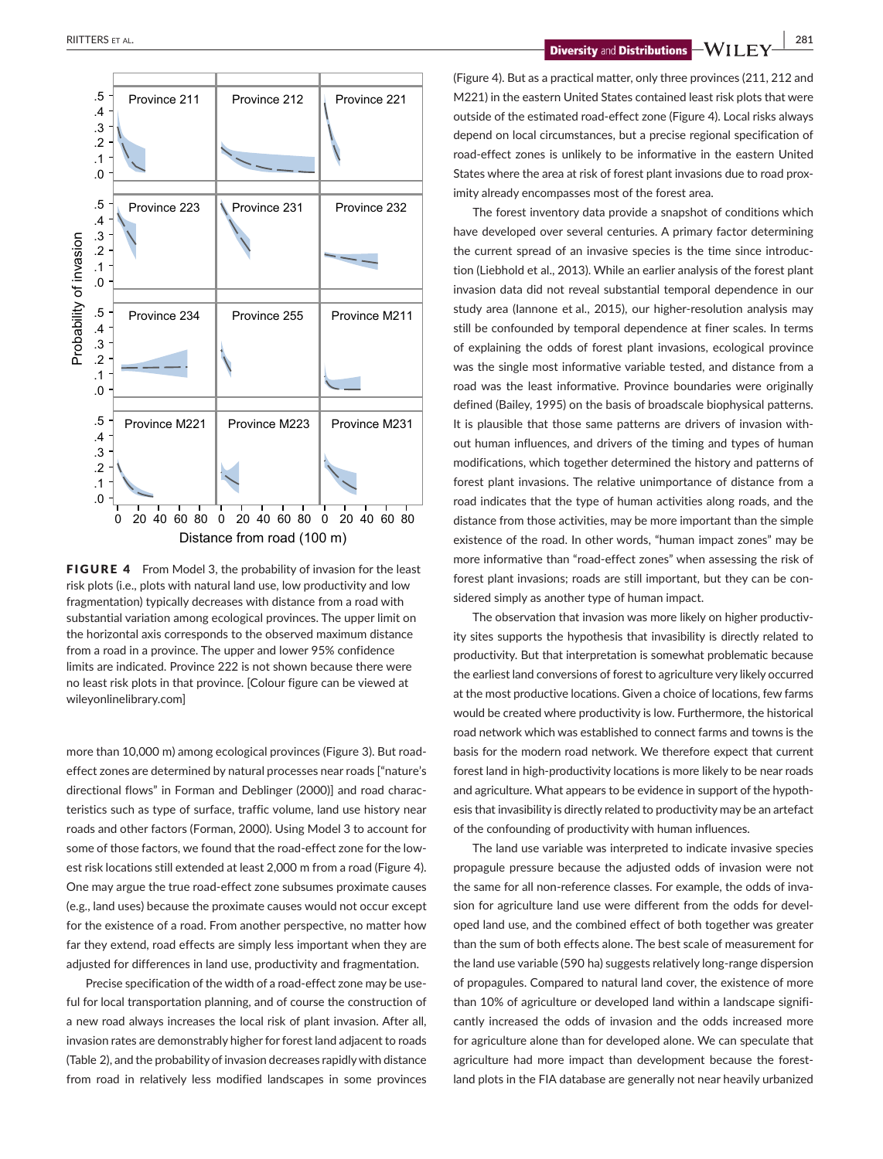

FIGURE 4 From Model 3, the probability of invasion for the least risk plots (i.e., plots with natural land use, low productivity and low fragmentation) typically decreases with distance from a road with substantial variation among ecological provinces. The upper limit on the horizontal axis corresponds to the observed maximum distance from a road in a province. The upper and lower 95% confidence limits are indicated. Province 222 is not shown because there were no least risk plots in that province. [Colour figure can be viewed at [wileyonlinelibrary.com\]](www.wileyonlinelibrary.com)

more than 10,000 m) among ecological provinces (Figure 3). But roadeffect zones are determined by natural processes near roads ["nature's directional flows" in Forman and Deblinger (2000)] and road characteristics such as type of surface, traffic volume, land use history near roads and other factors (Forman, 2000). Using Model 3 to account for some of those factors, we found that the road-effect zone for the lowest risk locations still extended at least 2,000 m from a road (Figure 4). One may argue the true road-effect zone subsumes proximate causes (e.g., land uses) because the proximate causes would not occur except for the existence of a road. From another perspective, no matter how far they extend, road effects are simply less important when they are adjusted for differences in land use, productivity and fragmentation.

Precise specification of the width of a road-effect zone may be useful for local transportation planning, and of course the construction of a new road always increases the local risk of plant invasion. After all, invasion rates are demonstrably higher for forest land adjacent to roads (Table 2), and the probability of invasion decreases rapidly with distance from road in relatively less modified landscapes in some provinces

(Figure 4). But as a practical matter, only three provinces (211, 212 and M221) in the eastern United States contained least risk plots that were outside of the estimated road-effect zone (Figure 4). Local risks always depend on local circumstances, but a precise regional specification of road-effect zones is unlikely to be informative in the eastern United States where the area at risk of forest plant invasions due to road proximity already encompasses most of the forest area.

The forest inventory data provide a snapshot of conditions which have developed over several centuries. A primary factor determining the current spread of an invasive species is the time since introduction (Liebhold et al., 2013). While an earlier analysis of the forest plant invasion data did not reveal substantial temporal dependence in our study area (Iannone et al., 2015), our higher-resolution analysis may still be confounded by temporal dependence at finer scales. In terms of explaining the odds of forest plant invasions, ecological province was the single most informative variable tested, and distance from a road was the least informative. Province boundaries were originally defined (Bailey, 1995) on the basis of broadscale biophysical patterns. It is plausible that those same patterns are drivers of invasion without human influences, and drivers of the timing and types of human modifications, which together determined the history and patterns of forest plant invasions. The relative unimportance of distance from a road indicates that the type of human activities along roads, and the distance from those activities, may be more important than the simple existence of the road. In other words, "human impact zones" may be more informative than "road-effect zones" when assessing the risk of forest plant invasions; roads are still important, but they can be considered simply as another type of human impact.

The observation that invasion was more likely on higher productivity sites supports the hypothesis that invasibility is directly related to productivity. But that interpretation is somewhat problematic because the earliest land conversions of forest to agriculture very likely occurred at the most productive locations. Given a choice of locations, few farms would be created where productivity is low. Furthermore, the historical road network which was established to connect farms and towns is the basis for the modern road network. We therefore expect that current forest land in high-productivity locations is more likely to be near roads and agriculture. What appears to be evidence in support of the hypothesis that invasibility is directly related to productivity may be an artefact of the confounding of productivity with human influences.

The land use variable was interpreted to indicate invasive species propagule pressure because the adjusted odds of invasion were not the same for all non-reference classes. For example, the odds of invasion for agriculture land use were different from the odds for developed land use, and the combined effect of both together was greater than the sum of both effects alone. The best scale of measurement for the land use variable (590 ha) suggests relatively long-range dispersion of propagules. Compared to natural land cover, the existence of more than 10% of agriculture or developed land within a landscape significantly increased the odds of invasion and the odds increased more for agriculture alone than for developed alone. We can speculate that agriculture had more impact than development because the forestland plots in the FIA database are generally not near heavily urbanized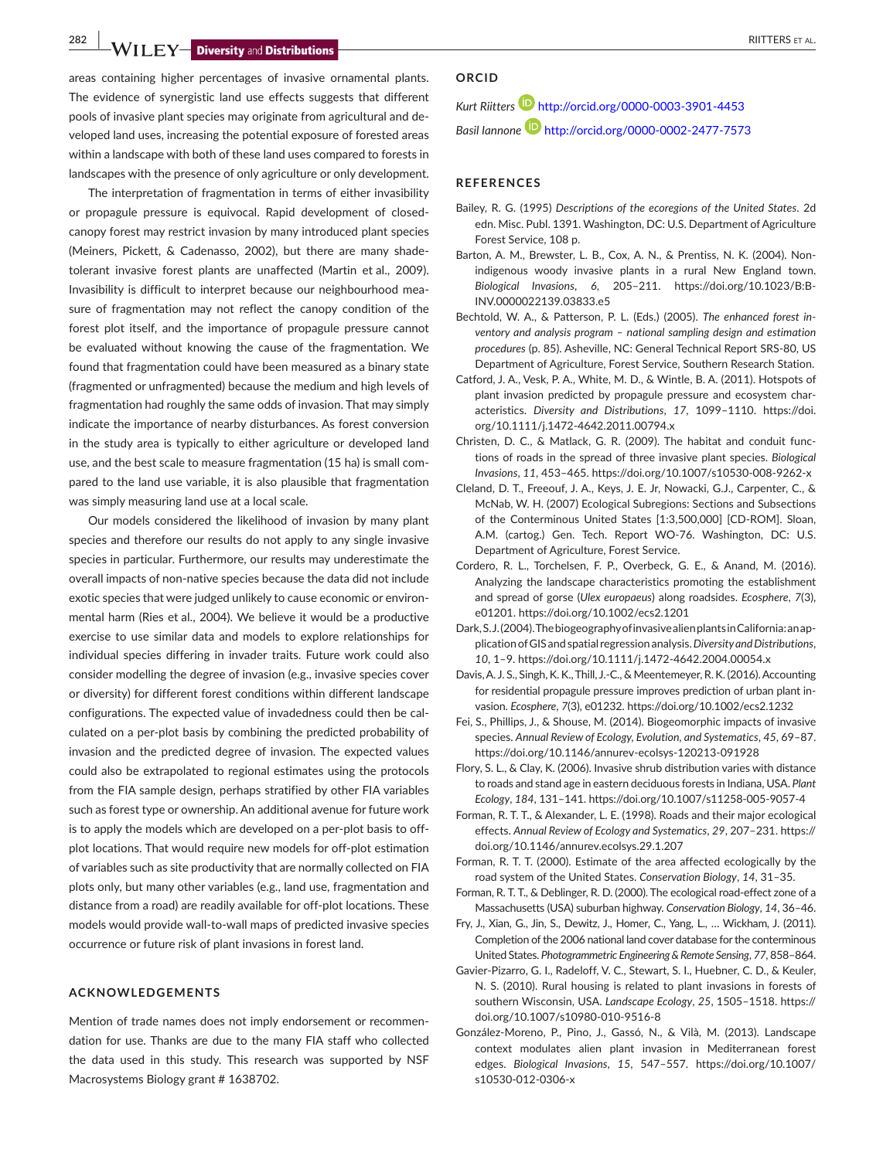**282 WII.EY Diversity** and **Distributions** 

areas containing higher percentages of invasive ornamental plants. The evidence of synergistic land use effects suggests that different pools of invasive plant species may originate from agricultural and developed land uses, increasing the potential exposure of forested areas within a landscape with both of these land uses compared to forests in landscapes with the presence of only agriculture or only development.

The interpretation of fragmentation in terms of either invasibility or propagule pressure is equivocal. Rapid development of closedcanopy forest may restrict invasion by many introduced plant species (Meiners, Pickett, & Cadenasso, 2002), but there are many shadetolerant invasive forest plants are unaffected (Martin et al., 2009). Invasibility is difficult to interpret because our neighbourhood measure of fragmentation may not reflect the canopy condition of the forest plot itself, and the importance of propagule pressure cannot be evaluated without knowing the cause of the fragmentation. We found that fragmentation could have been measured as a binary state (fragmented or unfragmented) because the medium and high levels of fragmentation had roughly the same odds of invasion. That may simply indicate the importance of nearby disturbances. As forest conversion in the study area is typically to either agriculture or developed land use, and the best scale to measure fragmentation (15 ha) is small compared to the land use variable, it is also plausible that fragmentation was simply measuring land use at a local scale.

Our models considered the likelihood of invasion by many plant species and therefore our results do not apply to any single invasive species in particular. Furthermore, our results may underestimate the overall impacts of non-native species because the data did not include exotic species that were judged unlikely to cause economic or environmental harm (Ries et al., 2004). We believe it would be a productive exercise to use similar data and models to explore relationships for individual species differing in invader traits. Future work could also consider modelling the degree of invasion (e.g., invasive species cover or diversity) for different forest conditions within different landscape configurations. The expected value of invadedness could then be calculated on a per-plot basis by combining the predicted probability of invasion and the predicted degree of invasion. The expected values could also be extrapolated to regional estimates using the protocols from the FIA sample design, perhaps stratified by other FIA variables such as forest type or ownership. An additional avenue for future work is to apply the models which are developed on a per-plot basis to offplot locations. That would require new models for off-plot estimation of variables such as site productivity that are normally collected on FIA plots only, but many other variables (e.g., land use, fragmentation and distance from a road) are readily available for off-plot locations. These models would provide wall-to-wall maps of predicted invasive species occurrence or future risk of plant invasions in forest land.

#### **ACKNOWLEDGEMENTS**

Mention of trade names does not imply endorsement or recommendation for use. Thanks are due to the many FIA staff who collected the data used in this study. This research was supported by NSF Macrosystems Biology grant # 1638702.

## **ORCID**

*Kurt Riitters* <http://orcid.org/0000-0003-3901-4453> *Basil Iannone* <http://orcid.org/0000-0002-2477-7573>

#### **REFERENCES**

- Bailey, R. G. (1995) *Descriptions of the ecoregions of the United States*. 2d edn. Misc. Publ. 1391. Washington, DC: U.S. Department of Agriculture Forest Service, 108 p.
- Barton, A. M., Brewster, L. B., Cox, A. N., & Prentiss, N. K. (2004). Nonindigenous woody invasive plants in a rural New England town. *Biological Invasions*, *6*, 205–211. [https://doi.org/10.1023/B:B-](https://doi.org/10.1023/B:BINV.0000022139.03833.e5)[INV.0000022139.03833.e5](https://doi.org/10.1023/B:BINV.0000022139.03833.e5)
- Bechtold, W. A., & Patterson, P. L. (Eds.) (2005). *The enhanced forest inventory and analysis program – national sampling design and estimation procedures* (p. 85). Asheville, NC: General Technical Report SRS-80, US Department of Agriculture, Forest Service, Southern Research Station.
- Catford, J. A., Vesk, P. A., White, M. D., & Wintle, B. A. (2011). Hotspots of plant invasion predicted by propagule pressure and ecosystem characteristics. *Diversity and Distributions*, *17*, 1099–1110. [https://doi.](https://doi.org/10.1111/j.1472-4642.2011.00794.x) [org/10.1111/j.1472-4642.2011.00794.x](https://doi.org/10.1111/j.1472-4642.2011.00794.x)
- Christen, D. C., & Matlack, G. R. (2009). The habitat and conduit functions of roads in the spread of three invasive plant species. *Biological Invasions*, *11*, 453–465.<https://doi.org/10.1007/s10530-008-9262-x>
- Cleland, D. T., Freeouf, J. A., Keys, J. E. Jr, Nowacki, G.J., Carpenter, C., & McNab, W. H. (2007) Ecological Subregions: Sections and Subsections of the Conterminous United States [1:3,500,000] [CD-ROM]. Sloan, A.M. (cartog.) Gen. Tech. Report WO-76. Washington, DC: U.S. Department of Agriculture, Forest Service.
- Cordero, R. L., Torchelsen, F. P., Overbeck, G. E., & Anand, M. (2016). Analyzing the landscape characteristics promoting the establishment and spread of gorse (*Ulex europaeus*) along roadsides. *Ecosphere*, *7*(3), e01201. <https://doi.org/10.1002/ecs2.1201>
- Dark, S. J. (2004). The biogeography of invasive alien plants in California: an application of GIS and spatial regression analysis. *Diversity and Distributions*, *10*, 1–9. <https://doi.org/10.1111/j.1472-4642.2004.00054.x>
- Davis, A. J. S., Singh, K. K., Thill, J.-C., & Meentemeyer, R. K. (2016). Accounting for residential propagule pressure improves prediction of urban plant invasion. *Ecosphere*, *7*(3), e01232.<https://doi.org/10.1002/ecs2.1232>
- Fei, S., Phillips, J., & Shouse, M. (2014). Biogeomorphic impacts of invasive species. *Annual Review of Ecology, Evolution, and Systematics*, *45*, 69–87. <https://doi.org/10.1146/annurev-ecolsys-120213-091928>
- Flory, S. L., & Clay, K. (2006). Invasive shrub distribution varies with distance to roads and stand age in eastern deciduous forests in Indiana, USA. *Plant Ecology*, *184*, 131–141.<https://doi.org/10.1007/s11258-005-9057-4>
- Forman, R. T. T., & Alexander, L. E. (1998). Roads and their major ecological effects. *Annual Review of Ecology and Systematics*, *29*, 207–231. [https://](https://doi.org/10.1146/annurev.ecolsys.29.1.207) [doi.org/10.1146/annurev.ecolsys.29.1.207](https://doi.org/10.1146/annurev.ecolsys.29.1.207)
- Forman, R. T. T. (2000). Estimate of the area affected ecologically by the road system of the United States. *Conservation Biology*, *14*, 31–35.
- Forman, R. T. T., & Deblinger, R. D. (2000). The ecological road-effect zone of a Massachusetts (USA) suburban highway. *Conservation Biology*, *14*, 36–46.
- Fry, J., Xian, G., Jin, S., Dewitz, J., Homer, C., Yang, L., … Wickham, J. (2011). Completion of the 2006 national land cover database for the conterminous United States. *Photogrammetric Engineering & Remote Sensing*, *77*, 858–864.
- Gavier-Pizarro, G. I., Radeloff, V. C., Stewart, S. I., Huebner, C. D., & Keuler, N. S. (2010). Rural housing is related to plant invasions in forests of southern Wisconsin, USA. *Landscape Ecology*, *25*, 1505–1518. [https://](https://doi.org/10.1007/s10980-010-9516-8) [doi.org/10.1007/s10980-010-9516-8](https://doi.org/10.1007/s10980-010-9516-8)
- González-Moreno, P., Pino, J., Gassó, N., & Vilà, M. (2013). Landscape context modulates alien plant invasion in Mediterranean forest edges. *Biological Invasions*, *15*, 547–557. [https://doi.org/10.1007/](https://doi.org/10.1007/s10530-012-0306-x) [s10530-012-0306-x](https://doi.org/10.1007/s10530-012-0306-x)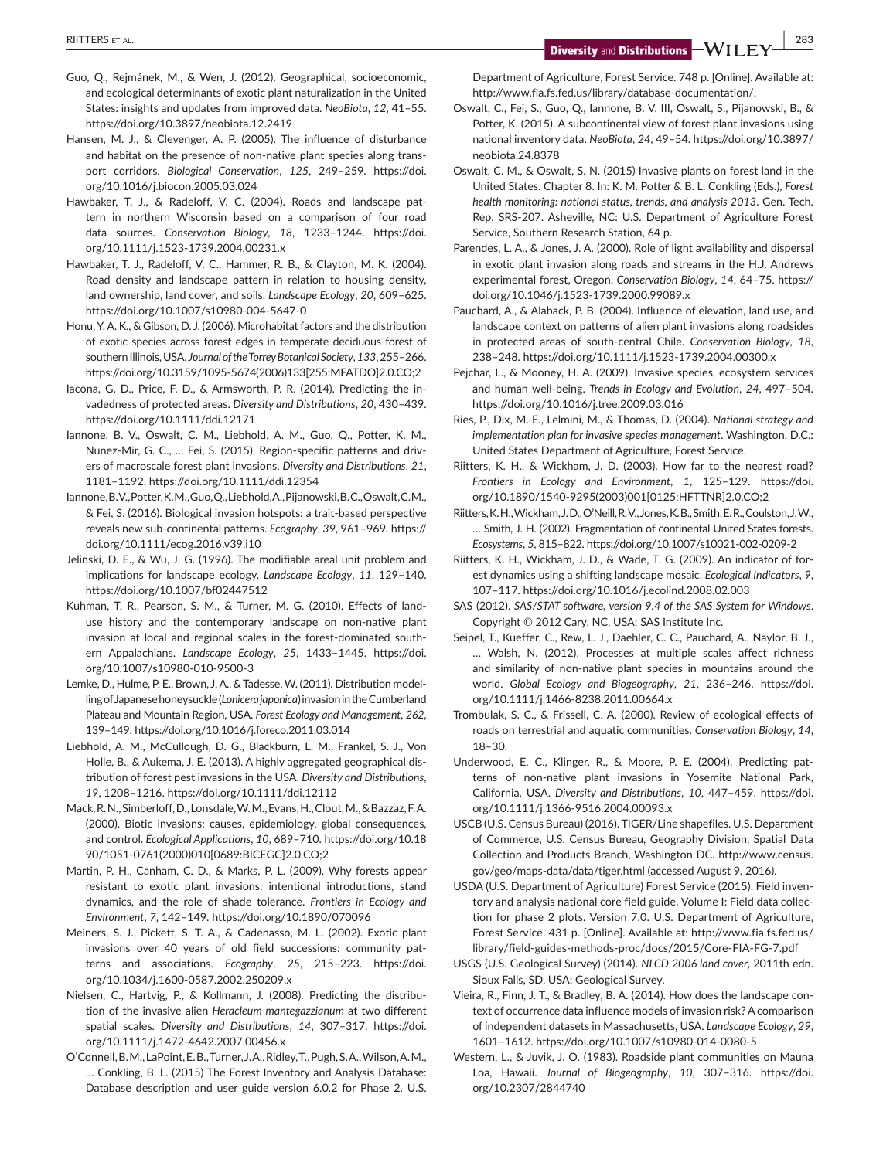**|** RIITTERS et al. **283**

- Guo, Q., Rejmánek, M., & Wen, J. (2012). Geographical, socioeconomic, and ecological determinants of exotic plant naturalization in the United States: insights and updates from improved data. *NeoBiota*, *12*, 41–55. <https://doi.org/10.3897/neobiota.12.2419>
- Hansen, M. J., & Clevenger, A. P. (2005). The influence of disturbance and habitat on the presence of non-native plant species along transport corridors. *Biological Conservation*, *125*, 249–259. [https://doi.](https://doi.org/10.1016/j.biocon.2005.03.024) [org/10.1016/j.biocon.2005.03.024](https://doi.org/10.1016/j.biocon.2005.03.024)
- Hawbaker, T. J., & Radeloff, V. C. (2004). Roads and landscape pattern in northern Wisconsin based on a comparison of four road data sources. *Conservation Biology*, *18*, 1233–1244. [https://doi.](https://doi.org/10.1111/j.1523-1739.2004.00231.x) [org/10.1111/j.1523-1739.2004.00231.x](https://doi.org/10.1111/j.1523-1739.2004.00231.x)
- Hawbaker, T. J., Radeloff, V. C., Hammer, R. B., & Clayton, M. K. (2004). Road density and landscape pattern in relation to housing density, land ownership, land cover, and soils. *Landscape Ecology*, *20*, 609–625. <https://doi.org/10.1007/s10980-004-5647-0>
- Honu, Y. A. K., & Gibson, D. J. (2006). Microhabitat factors and the distribution of exotic species across forest edges in temperate deciduous forest of southern Illinois, USA. *Journal of the Torrey Botanical Society*, *133*, 255–266. [https://doi.org/10.3159/1095-5674\(2006\)133\[255:MFATDO\]2.0.CO;2](https://doi.org/10.3159/1095-5674(2006)133[255:MFATDO]2.0.CO;2)
- Iacona, G. D., Price, F. D., & Armsworth, P. R. (2014). Predicting the invadedness of protected areas. *Diversity and Distributions*, *20*, 430–439. <https://doi.org/10.1111/ddi.12171>
- Iannone, B. V., Oswalt, C. M., Liebhold, A. M., Guo, Q., Potter, K. M., Nunez-Mir, G. C., … Fei, S. (2015). Region-specific patterns and drivers of macroscale forest plant invasions. *Diversity and Distributions*, *21*, 1181–1192. <https://doi.org/10.1111/ddi.12354>
- Iannone, B. V., Potter, K. M., Guo, Q., Liebhold, A., Pijanowski, B. C., Oswalt, C. M., & Fei, S. (2016). Biological invasion hotspots: a trait-based perspective reveals new sub-continental patterns. *Ecography*, *39*, 961–969. [https://](https://doi.org/10.1111/ecog.2016.v39.i10) [doi.org/10.1111/ecog.2016.v39.i10](https://doi.org/10.1111/ecog.2016.v39.i10)
- Jelinski, D. E., & Wu, J. G. (1996). The modifiable areal unit problem and implications for landscape ecology. *Landscape Ecology*, *11*, 129–140. <https://doi.org/10.1007/bf02447512>
- Kuhman, T. R., Pearson, S. M., & Turner, M. G. (2010). Effects of landuse history and the contemporary landscape on non-native plant invasion at local and regional scales in the forest-dominated southern Appalachians. *Landscape Ecology*, *25*, 1433–1445. [https://doi.](https://doi.org/10.1007/s10980-010-9500-3) [org/10.1007/s10980-010-9500-3](https://doi.org/10.1007/s10980-010-9500-3)
- Lemke, D., Hulme, P. E., Brown, J. A., & Tadesse, W. (2011). Distribution modelling of Japanese honeysuckle (*Lonicera japonica*) invasion in the Cumberland Plateau and Mountain Region, USA. *Forest Ecology and Management*, *262*, 139–149.<https://doi.org/10.1016/j.foreco.2011.03.014>
- Liebhold, A. M., McCullough, D. G., Blackburn, L. M., Frankel, S. J., Von Holle, B., & Aukema, J. E. (2013). A highly aggregated geographical distribution of forest pest invasions in the USA. *Diversity and Distributions*, *19*, 1208–1216. <https://doi.org/10.1111/ddi.12112>
- Mack, R. N., Simberloff, D., Lonsdale, W. M., Evans, H., Clout, M., & Bazzaz, F. A. (2000). Biotic invasions: causes, epidemiology, global consequences, and control. *Ecological Applications*, *10*, 689–710. [https://doi.org/10.18](https://doi.org/10.1890/1051-0761(2000)010[0689:BICEGC]2.0.CO;2) [90/1051-0761\(2000\)010\[0689:BICEGC\]2.0.CO;2](https://doi.org/10.1890/1051-0761(2000)010[0689:BICEGC]2.0.CO;2)
- Martin, P. H., Canham, C. D., & Marks, P. L. (2009). Why forests appear resistant to exotic plant invasions: intentional introductions, stand dynamics, and the role of shade tolerance. *Frontiers in Ecology and Environment*, *7*, 142–149.<https://doi.org/10.1890/070096>
- Meiners, S. J., Pickett, S. T. A., & Cadenasso, M. L. (2002). Exotic plant invasions over 40 years of old field successions: community patterns and associations. *Ecography*, *25*, 215–223. [https://doi.](https://doi.org/10.1034/j.1600-0587.2002.250209.x) [org/10.1034/j.1600-0587.2002.250209.x](https://doi.org/10.1034/j.1600-0587.2002.250209.x)
- Nielsen, C., Hartvig, P., & Kollmann, J. (2008). Predicting the distribution of the invasive alien *Heracleum mantegazzianum* at two different spatial scales. *Diversity and Distributions*, *14*, 307–317. [https://doi.](https://doi.org/10.1111/j.1472-4642.2007.00456.x) [org/10.1111/j.1472-4642.2007.00456.x](https://doi.org/10.1111/j.1472-4642.2007.00456.x)
- O'Connell, B. M., LaPoint, E. B., Turner, J. A., Ridley, T., Pugh, S. A., Wilson, A. M., … Conkling, B. L. (2015) The Forest Inventory and Analysis Database: Database description and user guide version 6.0.2 for Phase 2. U.S.

Department of Agriculture, Forest Service. 748 p. [Online]. Available at: [http://www.fia.fs.fed.us/library/database-documentation/.](http://www.fia.fs.fed.us/library/database-documentation/)

- Oswalt, C., Fei, S., Guo, Q., Iannone, B. V. III, Oswalt, S., Pijanowski, B., & Potter, K. (2015). A subcontinental view of forest plant invasions using national inventory data. *NeoBiota*, *24*, 49–54. [https://doi.org/10.3897/](https://doi.org/10.3897/neobiota.24.8378) [neobiota.24.8378](https://doi.org/10.3897/neobiota.24.8378)
- Oswalt, C. M., & Oswalt, S. N. (2015) Invasive plants on forest land in the United States. Chapter 8. In: K. M. Potter & B. L. Conkling (Eds.), *Forest health monitoring: national status, trends, and analysis 2013*. Gen. Tech. Rep. SRS-207. Asheville, NC: U.S. Department of Agriculture Forest Service, Southern Research Station, 64 p.
- Parendes, L. A., & Jones, J. A. (2000). Role of light availability and dispersal in exotic plant invasion along roads and streams in the H.J. Andrews experimental forest, Oregon. *Conservation Biology*, *14*, 64–75. [https://](https://doi.org/10.1046/j.1523-1739.2000.99089.x) [doi.org/10.1046/j.1523-1739.2000.99089.x](https://doi.org/10.1046/j.1523-1739.2000.99089.x)
- Pauchard, A., & Alaback, P. B. (2004). Influence of elevation, land use, and landscape context on patterns of alien plant invasions along roadsides in protected areas of south-central Chile. *Conservation Biology*, *18*, 238–248. <https://doi.org/10.1111/j.1523-1739.2004.00300.x>
- Pejchar, L., & Mooney, H. A. (2009). Invasive species, ecosystem services and human well-being. *Trends in Ecology and Evolution*, *24*, 497–504. <https://doi.org/10.1016/j.tree.2009.03.016>
- Ries, P., Dix, M. E., Lelmini, M., & Thomas, D. (2004). *National strategy and implementation plan for invasive species management*. Washington, D.C.: United States Department of Agriculture, Forest Service.
- Riitters, K. H., & Wickham, J. D. (2003). How far to the nearest road? *Frontiers in Ecology and Environment*, *1*, 125–129. [https://doi.](https://doi.org/10.1890/1540-9295(2003)001[0125:HFTTNR]2.0.CO;2) [org/10.1890/1540-9295\(2003\)001\[0125:HFTTNR\]2.0.CO;2](https://doi.org/10.1890/1540-9295(2003)001[0125:HFTTNR]2.0.CO;2)
- Riitters, K. H., Wickham, J. D., O'Neill, R. V., Jones, K. B., Smith, E. R., Coulston, J. W., … Smith, J. H. (2002). Fragmentation of continental United States forests. *Ecosystems*, *5*, 815–822.<https://doi.org/10.1007/s10021-002-0209-2>
- Riitters, K. H., Wickham, J. D., & Wade, T. G. (2009). An indicator of forest dynamics using a shifting landscape mosaic. *Ecological Indicators*, *9*, 107–117. <https://doi.org/10.1016/j.ecolind.2008.02.003>
- SAS (2012). *SAS/STAT software, version 9.4 of the SAS System for Windows*. Copyright © 2012 Cary, NC, USA: SAS Institute Inc.
- Seipel, T., Kueffer, C., Rew, L. J., Daehler, C. C., Pauchard, A., Naylor, B. J., … Walsh, N. (2012). Processes at multiple scales affect richness and similarity of non-native plant species in mountains around the world. *Global Ecology and Biogeography*, *21*, 236–246. [https://doi.](https://doi.org/10.1111/j.1466-8238.2011.00664.x) [org/10.1111/j.1466-8238.2011.00664.x](https://doi.org/10.1111/j.1466-8238.2011.00664.x)
- Trombulak, S. C., & Frissell, C. A. (2000). Review of ecological effects of roads on terrestrial and aquatic communities. *Conservation Biology*, *14*, 18–30.
- Underwood, E. C., Klinger, R., & Moore, P. E. (2004). Predicting patterns of non-native plant invasions in Yosemite National Park, California, USA. *Diversity and Distributions*, *10*, 447–459. [https://doi.](https://doi.org/10.1111/j.1366-9516.2004.00093.x) [org/10.1111/j.1366-9516.2004.00093.x](https://doi.org/10.1111/j.1366-9516.2004.00093.x)
- USCB (U.S. Census Bureau) (2016). TIGER/Line shapefiles. U.S. Department of Commerce, U.S. Census Bureau, Geography Division, Spatial Data Collection and Products Branch, Washington DC. [http://www.census.](http://www.census.gov/geo/maps-data/data/tiger.html) [gov/geo/maps-data/data/tiger.html](http://www.census.gov/geo/maps-data/data/tiger.html) (accessed August 9, 2016).
- USDA (U.S. Department of Agriculture) Forest Service (2015). Field inventory and analysis national core field guide. Volume I: Field data collection for phase 2 plots. Version 7.0. U.S. Department of Agriculture, Forest Service. 431 p. [Online]. Available at: [http://www.fia.fs.fed.us/](http://www.fia.fs.fed.us/library/field-guides-methods-proc/docs/2015/Core-FIA-FG-7.pdf) [library/field-guides-methods-proc/docs/2015/Core-FIA-FG-7.pdf](http://www.fia.fs.fed.us/library/field-guides-methods-proc/docs/2015/Core-FIA-FG-7.pdf)
- USGS (U.S. Geological Survey) (2014). *NLCD 2006 land cover*, 2011th edn. Sioux Falls, SD, USA: Geological Survey.
- Vieira, R., Finn, J. T., & Bradley, B. A. (2014). How does the landscape context of occurrence data influence models of invasion risk? A comparison of independent datasets in Massachusetts, USA. *Landscape Ecology*, *29*, 1601–1612. <https://doi.org/10.1007/s10980-014-0080-5>
- Western, L., & Juvik, J. O. (1983). Roadside plant communities on Mauna Loa, Hawaii. *Journal of Biogeography*, *10*, 307–316. [https://doi.](https://doi.org/10.2307/2844740) [org/10.2307/2844740](https://doi.org/10.2307/2844740)